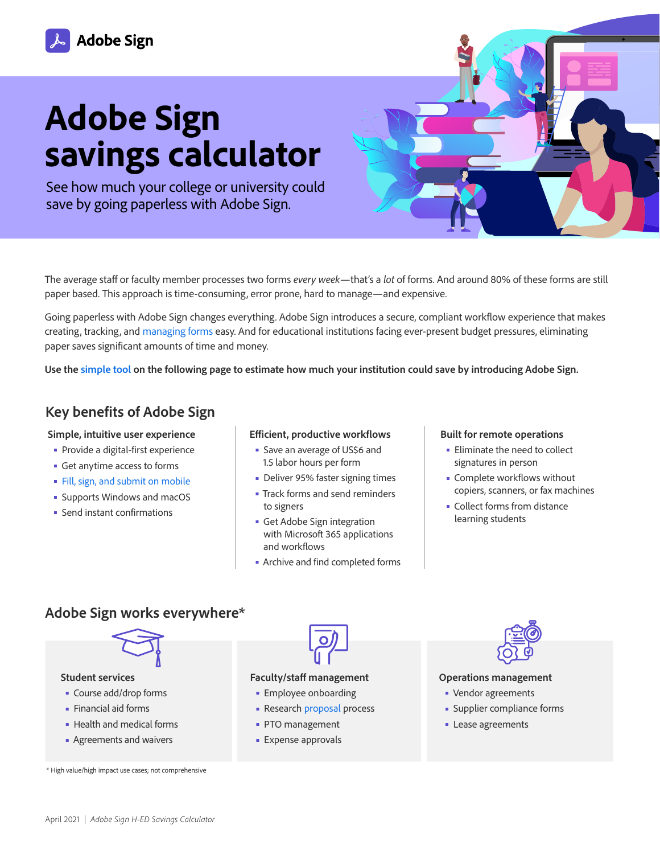# **Adobe Sign savings calculator**

See how much your college or university could save by going paperless with Adobe Sign.

The average staff or faculty member processes two forms *every week*—that's a *lot* of forms. And around 80% of these forms are still paper based. This approach is time-consuming, error prone, hard to manage—and expensive.

Going paperless with Adobe Sign changes everything. Adobe Sign introduces a secure, compliant workflow experience that makes creating, tracking, and [managing forms](https://acrobat.adobe.com/us/en/sign/how-to/create-online-forms.html) easy. And for educational institutions facing ever-present budget pressures, eliminating paper saves significant amounts of time and money.

**Use the [simple tool](#page-1-0) on the following page to estimate how much your institution could save by introducing Adobe Sign.**

# **Key benefits of Adobe Sign**

#### **Simple, intuitive user experience**

- Provide a digital-first experience
- Get anytime access to forms
- [Fill, sign, and submit on mobile](https://acrobat.adobe.com/us/en/mobile/fill-sign-pdfs.html)
- Supports Windows and macOS
- Send instant confirmations

#### **Efficient, productive workflows**

- Save an average of US\$6 and 1.5 labor hours per form
- Deliver 95% faster signing times
- Track forms and send reminders to signers
- Get Adobe Sign integration with Microsoft 365 applications and workflows
- Archive and find completed forms

#### **Built for remote operations**

- Eliminate the need to collect signatures in person
- Complete workflows without copiers, scanners, or fax machines
- Collect forms from distance learning students

## **Adobe Sign works everywhere\***



#### **Student services**

- Course add/drop forms
- Financial aid forms
- Health and medical forms
- Agreements and waivers





#### **Faculty/staff management**

- Employee onboarding
- Research [proposal](https://acrobat.adobe.com/us/en/sign/esignature-resources/how-to-write-a-proposal.html) process
- PTO management
- Expense approvals



#### **Operations management**

- Vendor agreements
- Supplier compliance forms
- Lease agreements